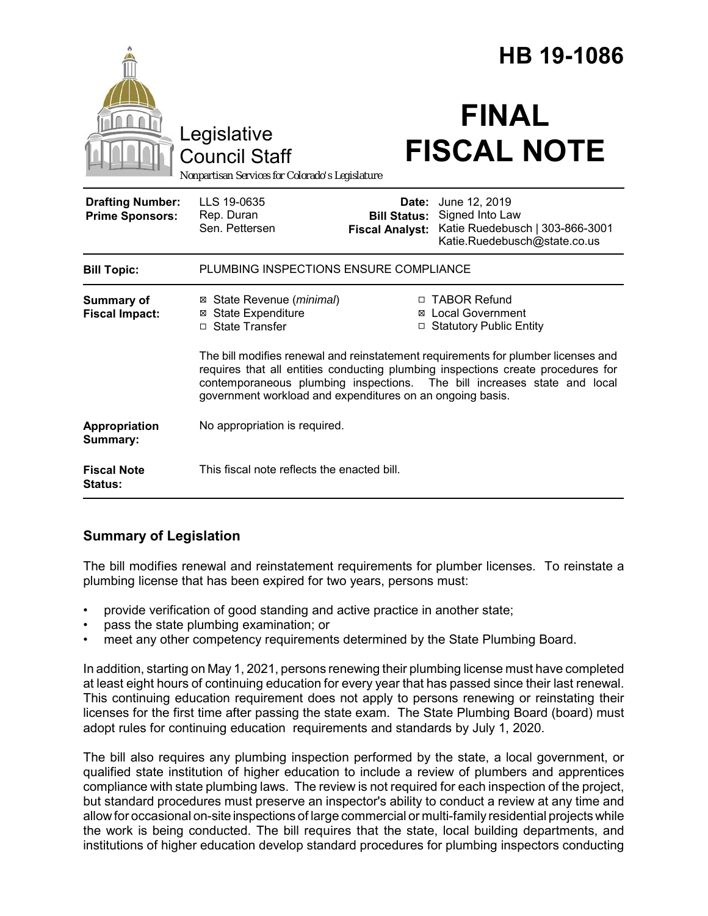|                                                   |                                                                                                                                                                                                                                                                                                                |                                                        | HB 19-1086                                                                                          |  |
|---------------------------------------------------|----------------------------------------------------------------------------------------------------------------------------------------------------------------------------------------------------------------------------------------------------------------------------------------------------------------|--------------------------------------------------------|-----------------------------------------------------------------------------------------------------|--|
|                                                   | Legislative<br><b>Council Staff</b><br>Nonpartisan Services for Colorado's Legislature                                                                                                                                                                                                                         |                                                        | <b>FINAL</b><br><b>FISCAL NOTE</b>                                                                  |  |
| <b>Drafting Number:</b><br><b>Prime Sponsors:</b> | LLS 19-0635<br>Rep. Duran<br>Sen. Pettersen                                                                                                                                                                                                                                                                    | Date:<br><b>Bill Status:</b><br><b>Fiscal Analyst:</b> | June 12, 2019<br>Signed Into Law<br>Katie Ruedebusch   303-866-3001<br>Katie.Ruedebusch@state.co.us |  |
| <b>Bill Topic:</b>                                | PLUMBING INSPECTIONS ENSURE COMPLIANCE                                                                                                                                                                                                                                                                         |                                                        |                                                                                                     |  |
| Summary of<br><b>Fiscal Impact:</b>               | ⊠ State Revenue (minimal)<br><b>⊠</b> State Expenditure<br>□ State Transfer                                                                                                                                                                                                                                    |                                                        | □ TABOR Refund<br><b>⊠</b> Local Government<br>□ Statutory Public Entity                            |  |
|                                                   | The bill modifies renewal and reinstatement requirements for plumber licenses and<br>requires that all entities conducting plumbing inspections create procedures for<br>contemporaneous plumbing inspections. The bill increases state and local<br>government workload and expenditures on an ongoing basis. |                                                        |                                                                                                     |  |
| Appropriation<br>Summary:                         | No appropriation is required.                                                                                                                                                                                                                                                                                  |                                                        |                                                                                                     |  |
| <b>Fiscal Note</b><br>Status:                     | This fiscal note reflects the enacted bill.                                                                                                                                                                                                                                                                    |                                                        |                                                                                                     |  |

## **Summary of Legislation**

The bill modifies renewal and reinstatement requirements for plumber licenses. To reinstate a plumbing license that has been expired for two years, persons must:

- provide verification of good standing and active practice in another state;
- pass the state plumbing examination; or
- meet any other competency requirements determined by the State Plumbing Board.

In addition, starting on May 1, 2021, persons renewing their plumbing license must have completed at least eight hours of continuing education for every year that has passed since their last renewal. This continuing education requirement does not apply to persons renewing or reinstating their licenses for the first time after passing the state exam. The State Plumbing Board (board) must adopt rules for continuing education requirements and standards by July 1, 2020.

The bill also requires any plumbing inspection performed by the state, a local government, or qualified state institution of higher education to include a review of plumbers and apprentices compliance with state plumbing laws. The review is not required for each inspection of the project, but standard procedures must preserve an inspector's ability to conduct a review at any time and allow for occasional on-site inspections of large commercial or multi-family residential projects while the work is being conducted. The bill requires that the state, local building departments, and institutions of higher education develop standard procedures for plumbing inspectors conducting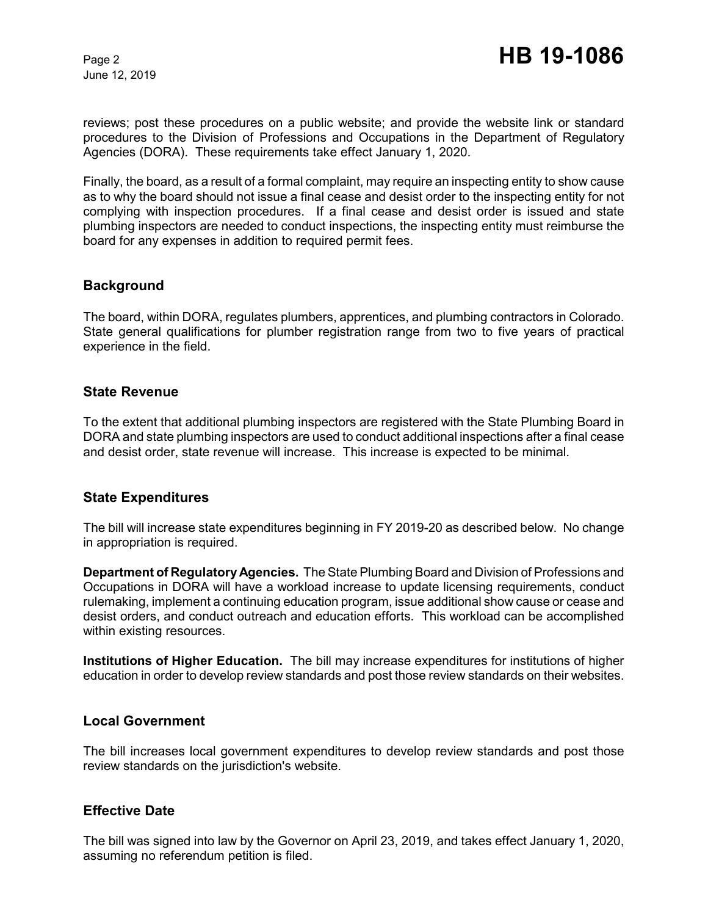June 12, 2019

reviews; post these procedures on a public website; and provide the website link or standard procedures to the Division of Professions and Occupations in the Department of Regulatory Agencies (DORA). These requirements take effect January 1, 2020.

Finally, the board, as a result of a formal complaint, may require an inspecting entity to show cause as to why the board should not issue a final cease and desist order to the inspecting entity for not complying with inspection procedures. If a final cease and desist order is issued and state plumbing inspectors are needed to conduct inspections, the inspecting entity must reimburse the board for any expenses in addition to required permit fees.

### **Background**

The board, within DORA, regulates plumbers, apprentices, and plumbing contractors in Colorado. State general qualifications for plumber registration range from two to five years of practical experience in the field.

### **State Revenue**

To the extent that additional plumbing inspectors are registered with the State Plumbing Board in DORA and state plumbing inspectors are used to conduct additional inspections after a final cease and desist order, state revenue will increase. This increase is expected to be minimal.

### **State Expenditures**

The bill will increase state expenditures beginning in FY 2019-20 as described below. No change in appropriation is required.

**Department of Regulatory Agencies.** The State Plumbing Board and Division of Professions and Occupations in DORA will have a workload increase to update licensing requirements, conduct rulemaking, implement a continuing education program, issue additional show cause or cease and desist orders, and conduct outreach and education efforts. This workload can be accomplished within existing resources.

**Institutions of Higher Education.** The bill may increase expenditures for institutions of higher education in order to develop review standards and post those review standards on their websites.

### **Local Government**

The bill increases local government expenditures to develop review standards and post those review standards on the jurisdiction's website.

### **Effective Date**

The bill was signed into law by the Governor on April 23, 2019, and takes effect January 1, 2020, assuming no referendum petition is filed.